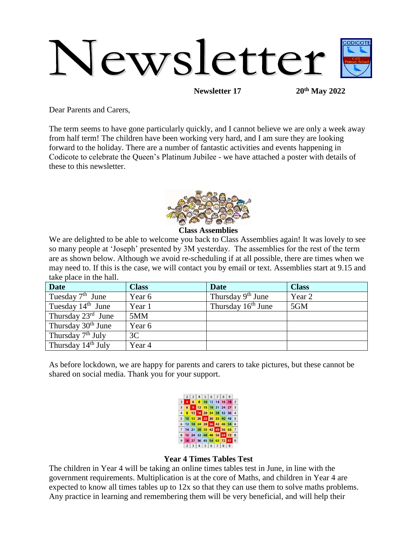# Newsletter

**Newsletter 17 20th May 2022**

Dear Parents and Carers,

The term seems to have gone particularly quickly, and I cannot believe we are only a week away from half term! The children have been working very hard, and I am sure they are looking forward to the holiday. There are a number of fantastic activities and events happening in Codicote to celebrate the Queen's Platinum Jubilee - we have attached a poster with details of these to this newsletter.



**Class Assemblies**

We are delighted to be able to welcome you back to Class Assemblies again! It was lovely to see so many people at 'Joseph' presented by 3M yesterday. The assemblies for the rest of the term are as shown below. Although we avoid re-scheduling if at all possible, there are times when we may need to. If this is the case, we will contact you by email or text. Assemblies start at 9.15 and take place in the hall.

| <b>Date</b>                    | <b>Class</b> | <b>Date</b>                    | <b>Class</b> |
|--------------------------------|--------------|--------------------------------|--------------|
| Tuesday $7th$ June             | Year 6       | Thursday $9th$ June            | Year 2       |
| Tuesday $14th$ June            | Year 1       | Thursday 16 <sup>th</sup> June | 5GM          |
| Thursday $23^{\text{rd}}$ June | 5MM          |                                |              |
| Thursday 30 <sup>th</sup> June | Year 6       |                                |              |
| Thursday 7 <sup>th</sup> July  | 3C           |                                |              |
| Thursday 14 <sup>th</sup> July | Year 4       |                                |              |

As before lockdown, we are happy for parents and carers to take pictures, but these cannot be shared on social media. Thank you for your support.



#### **Year 4 Times Tables Test**

The children in Year 4 will be taking an online times tables test in June, in line with the government requirements. Multiplication is at the core of Maths, and children in Year 4 are expected to know all times tables up to 12x so that they can use them to solve maths problems. Any practice in learning and remembering them will be very beneficial, and will help their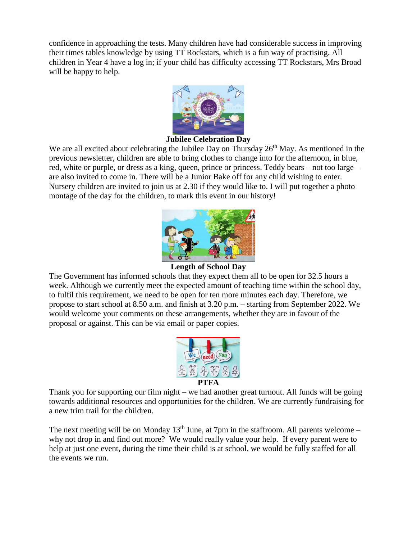confidence in approaching the tests. Many children have had considerable success in improving their times tables knowledge by using TT Rockstars, which is a fun way of practising. All children in Year 4 have a log in; if your child has difficulty accessing TT Rockstars, Mrs Broad will be happy to help.



#### **Jubilee Celebration Day**

We are all excited about celebrating the Jubilee Day on Thursday  $26<sup>th</sup>$  May. As mentioned in the previous newsletter, children are able to bring clothes to change into for the afternoon, in blue, red, white or purple, or dress as a king, queen, prince or princess. Teddy bears – not too large – are also invited to come in. There will be a Junior Bake off for any child wishing to enter. Nursery children are invited to join us at 2.30 if they would like to. I will put together a photo montage of the day for the children, to mark this event in our history!



# **Length of School Day**

The Government has informed schools that they expect them all to be open for 32.5 hours a week. Although we currently meet the expected amount of teaching time within the school day, to fulfil this requirement, we need to be open for ten more minutes each day. Therefore, we propose to start school at 8.50 a.m. and finish at 3.20 p.m. – starting from September 2022. We would welcome your comments on these arrangements, whether they are in favour of the proposal or against. This can be via email or paper copies.



Thank you for supporting our film night – we had another great turnout. All funds will be going towards additional resources and opportunities for the children. We are currently fundraising for a new trim trail for the children.

The next meeting will be on Monday  $13<sup>th</sup>$  June, at 7pm in the staffroom. All parents welcome – why not drop in and find out more? We would really value your help. If every parent were to help at just one event, during the time their child is at school, we would be fully staffed for all the events we run.